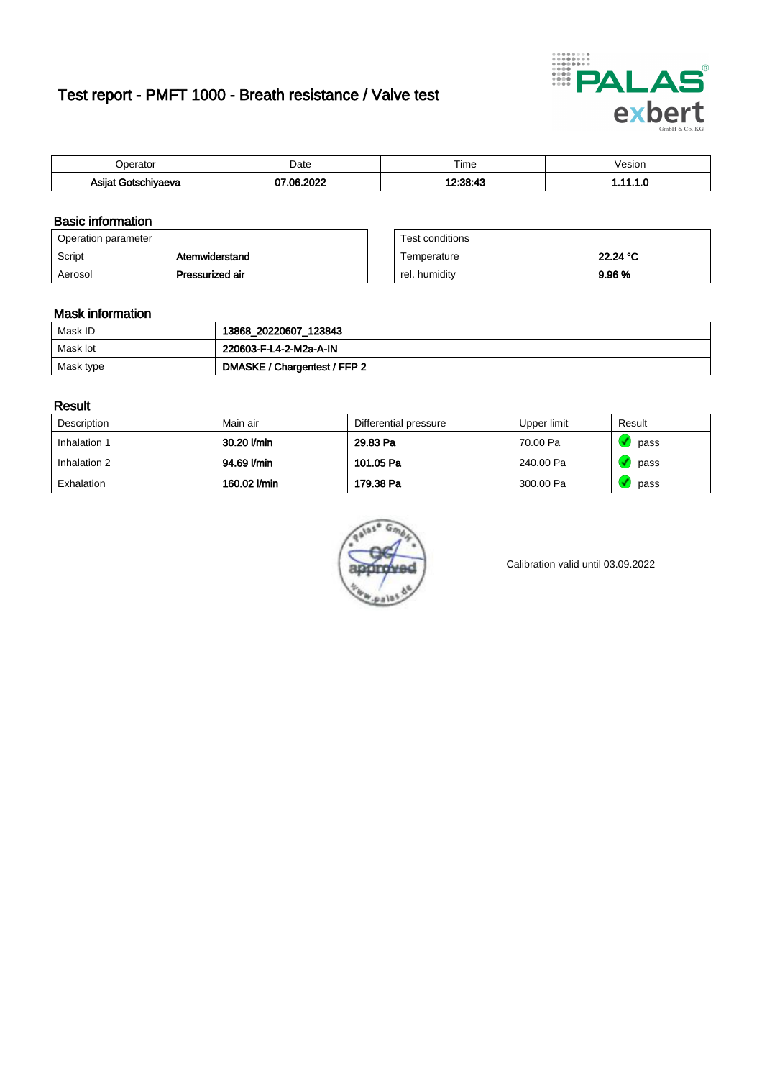# Test report - PMFT 1000 - Breath resistance / Valve test



| )perator                  | Date             | $- \cdot$<br>Гіmе | /esion |
|---------------------------|------------------|-------------------|--------|
| Asijat Goter '<br>hiyaeva | റററ<br>. റട<br>w | 10.90.19          | .      |

### Basic information

| Operation parameter |                 | Test conditions |          |
|---------------------|-----------------|-----------------|----------|
| Script              | Atemwiderstand  | Temperature     | 22.24 °C |
| Aerosol             | Pressurized air | rel. humidity   | 9.96 %   |

| Test conditions |          |
|-----------------|----------|
| Temperature     | 22.24 °C |
| rel. humidity   | 9.96%    |

#### Mask information

| Mask ID   | 13868_20220607_123843        |
|-----------|------------------------------|
| Mask lot  | 220603-F-L4-2-M2a-A-IN       |
| Mask type | DMASKE / Chargentest / FFP 2 |

### Result

| Description  | Main air     | Differential pressure | Upper limit | Result |
|--------------|--------------|-----------------------|-------------|--------|
| Inhalation 1 | 30.20 l/min  | 29.83 Pa              | 70.00 Pa    | pass   |
| Inhalation 2 | 94.69 l/min  | 101.05 Pa             | 240.00 Pa   | pass   |
| Exhalation   | 160.02 l/min | 179.38 Pa             | 300.00 Pa   | pass   |



Calibration valid until 03.09.2022